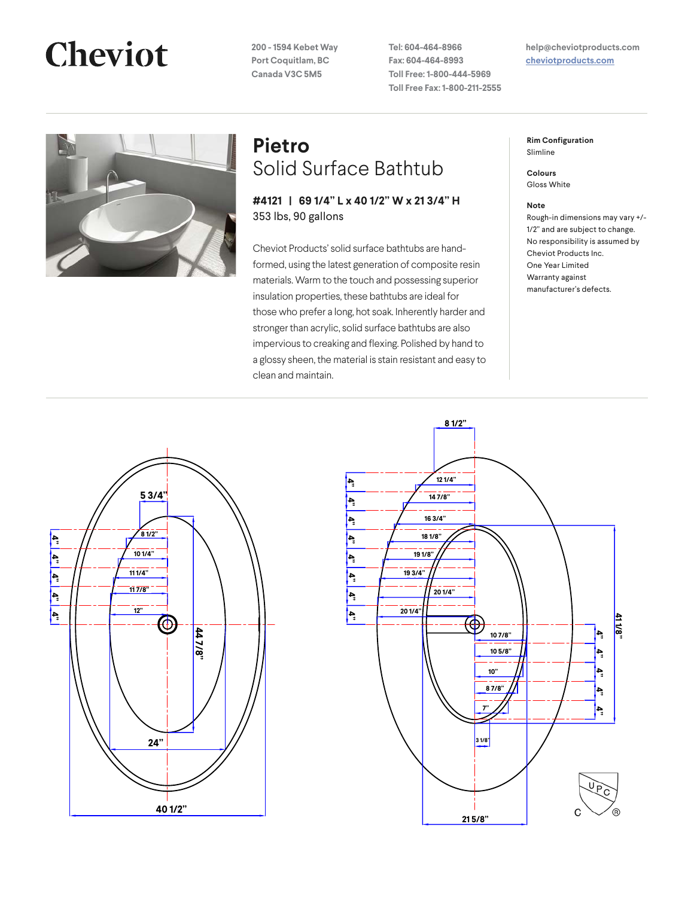# **Cheviot**

**200 - 1594 Kebet Way Port Coquitlam, BC Canada V3C 5M5**

**Tel: 604-464-8966 Fax: 604-464-8993 Toll Free: 1-800-444-5969 Toll Free Fax: 1-800-211-2555** **help@cheviotproducts.com [cheviotproducts.com](http://cheviotproducts.com/)**



### **Pietro** Solid Surface Bathtub

**#4121 | 69 1/4" L x 40 1/2" W x 21 3/4" H** 353 lbs, 90 gallons

Cheviot Products' solid surface bathtubs are handformed, using the latest generation of composite resin materials. Warm to the touch and possessing superior insulation properties, these bathtubs are ideal for those who prefer a long, hot soak. Inherently harder and stronger than acrylic, solid surface bathtubs are also impervious to creaking and flexing. Polished by hand to a glossy sheen, the material is stain resistant and easy to clean and maintain.

**Rim Configuration** Slimline

**Colours** Gloss White

#### **Note**

Rough-in dimensions may vary +/- 1/2" and are subject to change. No responsibility is assumed by Cheviot Products Inc. One Year Limited Warranty against manufacturer's defects.